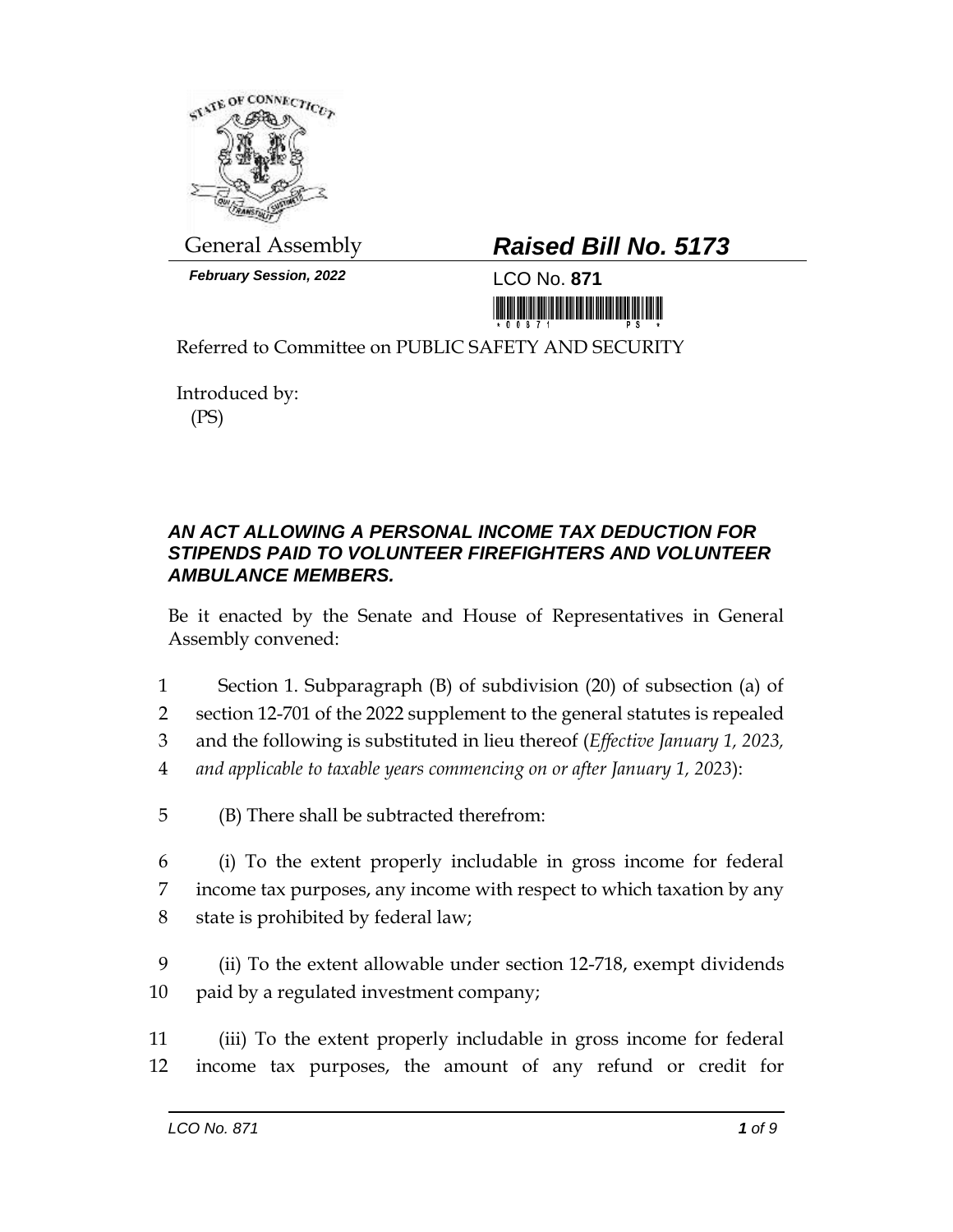

*February Session, 2022* LCO No. **871**

## General Assembly *Raised Bill No. 5173*

<u> 1999 - An Dùbhlachd Marwrig Marwr a 1999 - An Dùbhlachd Marwr a 1999 - An Dùbhlachd Marwr a 1999 - An Dùbhlach</u>

Referred to Committee on PUBLIC SAFETY AND SECURITY

Introduced by: (PS)

## *AN ACT ALLOWING A PERSONAL INCOME TAX DEDUCTION FOR STIPENDS PAID TO VOLUNTEER FIREFIGHTERS AND VOLUNTEER AMBULANCE MEMBERS.*

Be it enacted by the Senate and House of Representatives in General Assembly convened:

- 1 Section 1. Subparagraph (B) of subdivision (20) of subsection (a) of
- 2 section 12-701 of the 2022 supplement to the general statutes is repealed
- 3 and the following is substituted in lieu thereof (*Effective January 1, 2023,*
- 4 *and applicable to taxable years commencing on or after January 1, 2023*):
- 5 (B) There shall be subtracted therefrom:
- 6 (i) To the extent properly includable in gross income for federal 7 income tax purposes, any income with respect to which taxation by any 8 state is prohibited by federal law;
- 9 (ii) To the extent allowable under section 12-718, exempt dividends 10 paid by a regulated investment company;
- 11 (iii) To the extent properly includable in gross income for federal 12 income tax purposes, the amount of any refund or credit for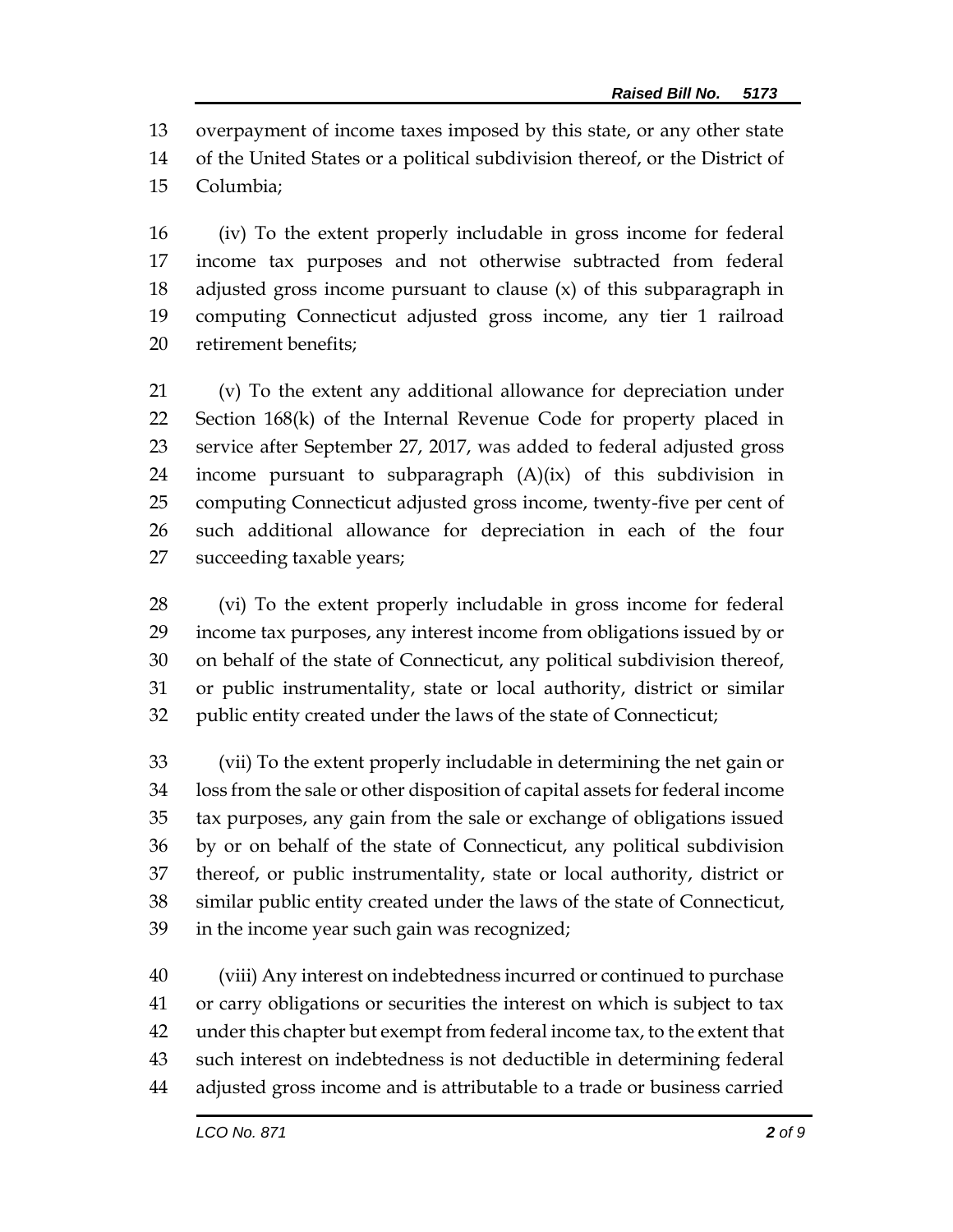overpayment of income taxes imposed by this state, or any other state of the United States or a political subdivision thereof, or the District of Columbia;

 (iv) To the extent properly includable in gross income for federal income tax purposes and not otherwise subtracted from federal adjusted gross income pursuant to clause (x) of this subparagraph in computing Connecticut adjusted gross income, any tier 1 railroad retirement benefits;

 (v) To the extent any additional allowance for depreciation under Section 168(k) of the Internal Revenue Code for property placed in service after September 27, 2017, was added to federal adjusted gross income pursuant to subparagraph (A)(ix) of this subdivision in computing Connecticut adjusted gross income, twenty-five per cent of such additional allowance for depreciation in each of the four succeeding taxable years;

 (vi) To the extent properly includable in gross income for federal income tax purposes, any interest income from obligations issued by or on behalf of the state of Connecticut, any political subdivision thereof, or public instrumentality, state or local authority, district or similar public entity created under the laws of the state of Connecticut;

 (vii) To the extent properly includable in determining the net gain or loss from the sale or other disposition of capital assets for federal income tax purposes, any gain from the sale or exchange of obligations issued by or on behalf of the state of Connecticut, any political subdivision thereof, or public instrumentality, state or local authority, district or similar public entity created under the laws of the state of Connecticut, in the income year such gain was recognized;

 (viii) Any interest on indebtedness incurred or continued to purchase or carry obligations or securities the interest on which is subject to tax under this chapter but exempt from federal income tax, to the extent that such interest on indebtedness is not deductible in determining federal adjusted gross income and is attributable to a trade or business carried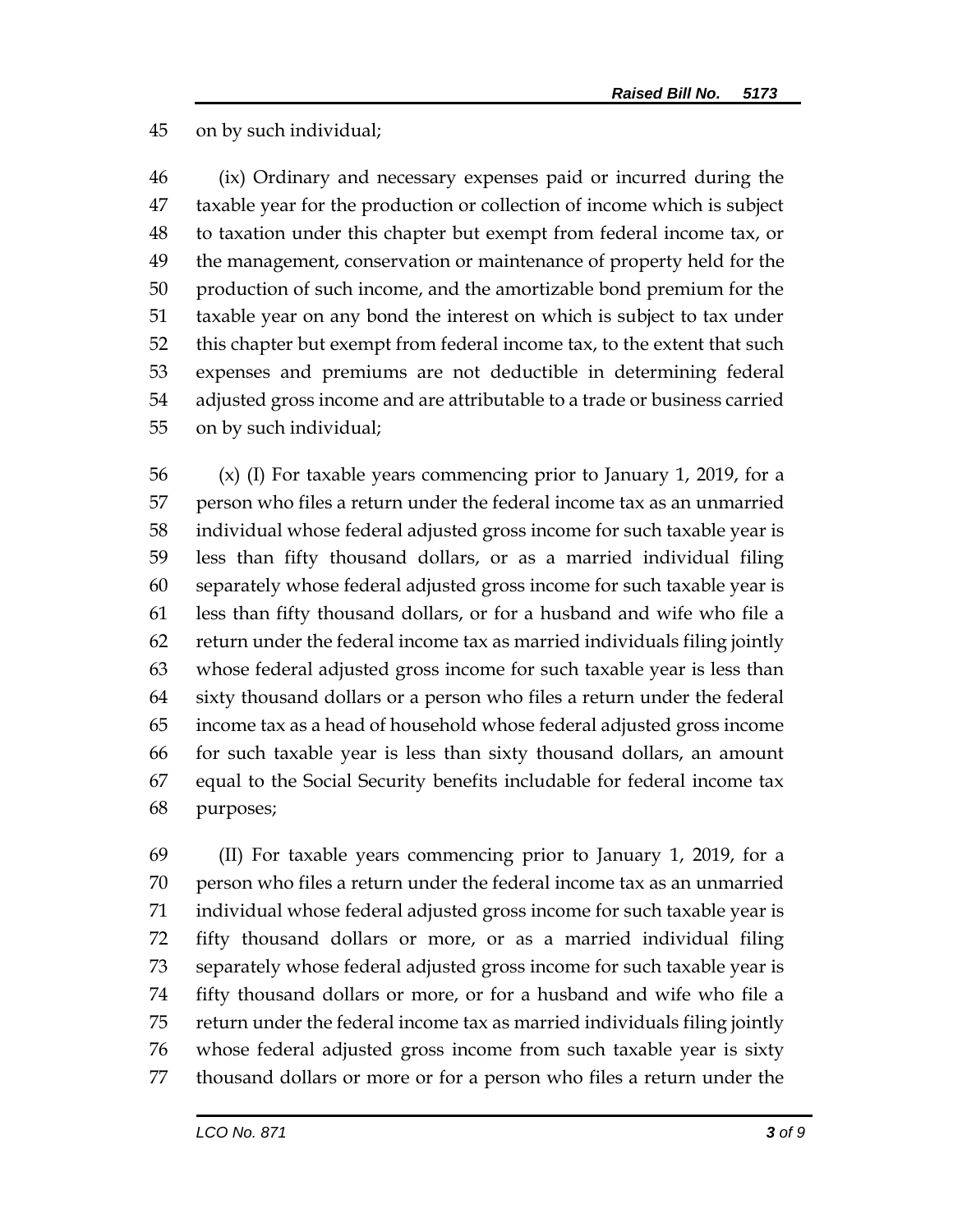## on by such individual;

 (ix) Ordinary and necessary expenses paid or incurred during the taxable year for the production or collection of income which is subject to taxation under this chapter but exempt from federal income tax, or the management, conservation or maintenance of property held for the production of such income, and the amortizable bond premium for the taxable year on any bond the interest on which is subject to tax under this chapter but exempt from federal income tax, to the extent that such expenses and premiums are not deductible in determining federal adjusted gross income and are attributable to a trade or business carried on by such individual;

 (x) (I) For taxable years commencing prior to January 1, 2019, for a person who files a return under the federal income tax as an unmarried individual whose federal adjusted gross income for such taxable year is less than fifty thousand dollars, or as a married individual filing separately whose federal adjusted gross income for such taxable year is less than fifty thousand dollars, or for a husband and wife who file a return under the federal income tax as married individuals filing jointly whose federal adjusted gross income for such taxable year is less than sixty thousand dollars or a person who files a return under the federal income tax as a head of household whose federal adjusted gross income for such taxable year is less than sixty thousand dollars, an amount equal to the Social Security benefits includable for federal income tax purposes;

 (II) For taxable years commencing prior to January 1, 2019, for a person who files a return under the federal income tax as an unmarried individual whose federal adjusted gross income for such taxable year is fifty thousand dollars or more, or as a married individual filing separately whose federal adjusted gross income for such taxable year is fifty thousand dollars or more, or for a husband and wife who file a return under the federal income tax as married individuals filing jointly whose federal adjusted gross income from such taxable year is sixty thousand dollars or more or for a person who files a return under the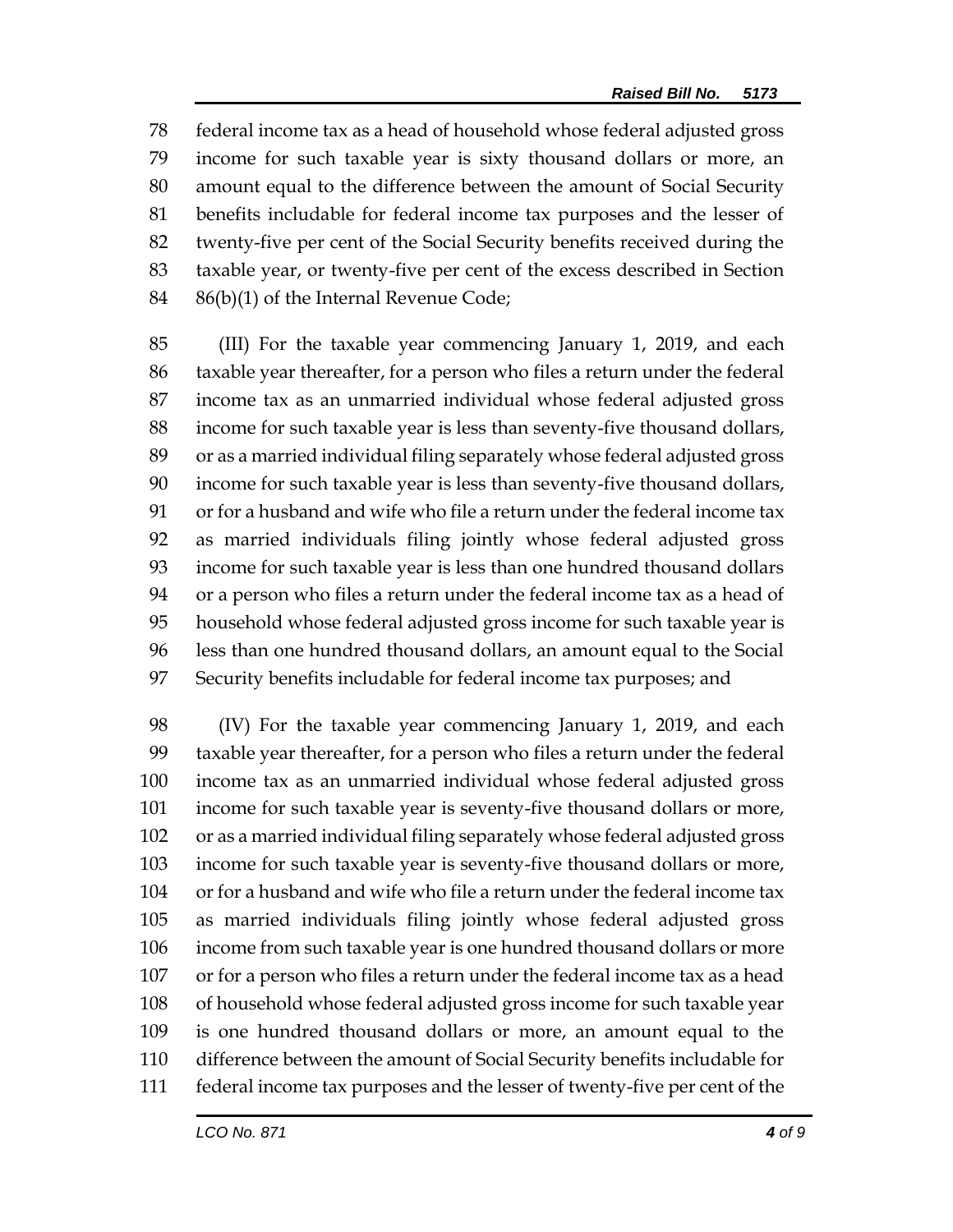federal income tax as a head of household whose federal adjusted gross income for such taxable year is sixty thousand dollars or more, an amount equal to the difference between the amount of Social Security benefits includable for federal income tax purposes and the lesser of twenty-five per cent of the Social Security benefits received during the taxable year, or twenty-five per cent of the excess described in Section 86(b)(1) of the Internal Revenue Code;

 (III) For the taxable year commencing January 1, 2019, and each taxable year thereafter, for a person who files a return under the federal income tax as an unmarried individual whose federal adjusted gross income for such taxable year is less than seventy-five thousand dollars, or as a married individual filing separately whose federal adjusted gross income for such taxable year is less than seventy-five thousand dollars, or for a husband and wife who file a return under the federal income tax as married individuals filing jointly whose federal adjusted gross income for such taxable year is less than one hundred thousand dollars or a person who files a return under the federal income tax as a head of household whose federal adjusted gross income for such taxable year is less than one hundred thousand dollars, an amount equal to the Social Security benefits includable for federal income tax purposes; and

 (IV) For the taxable year commencing January 1, 2019, and each taxable year thereafter, for a person who files a return under the federal income tax as an unmarried individual whose federal adjusted gross income for such taxable year is seventy-five thousand dollars or more, or as a married individual filing separately whose federal adjusted gross income for such taxable year is seventy-five thousand dollars or more, or for a husband and wife who file a return under the federal income tax as married individuals filing jointly whose federal adjusted gross income from such taxable year is one hundred thousand dollars or more or for a person who files a return under the federal income tax as a head of household whose federal adjusted gross income for such taxable year is one hundred thousand dollars or more, an amount equal to the difference between the amount of Social Security benefits includable for federal income tax purposes and the lesser of twenty-five per cent of the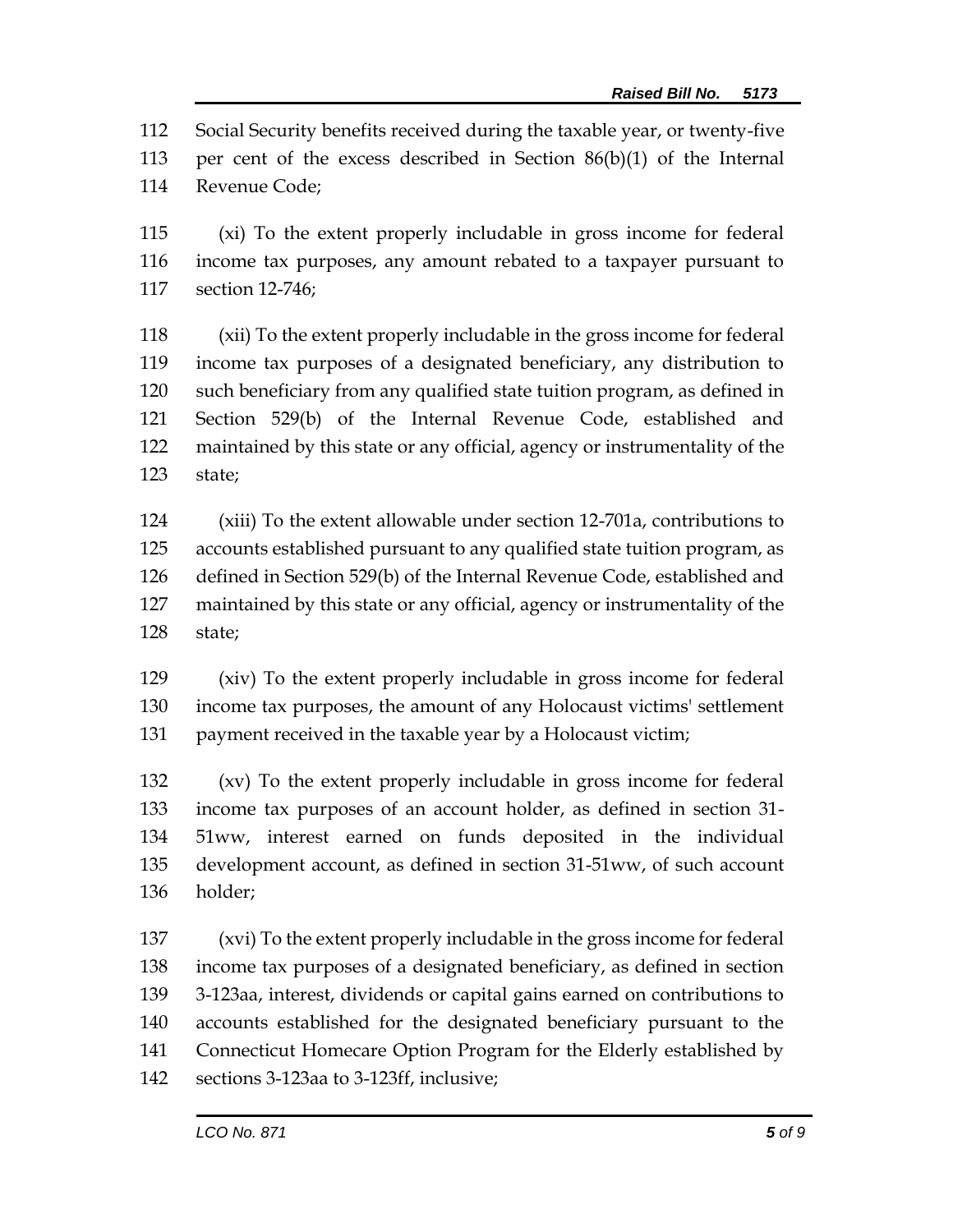Social Security benefits received during the taxable year, or twenty-five per cent of the excess described in Section 86(b)(1) of the Internal Revenue Code;

 (xi) To the extent properly includable in gross income for federal income tax purposes, any amount rebated to a taxpayer pursuant to section 12-746;

 (xii) To the extent properly includable in the gross income for federal income tax purposes of a designated beneficiary, any distribution to such beneficiary from any qualified state tuition program, as defined in Section 529(b) of the Internal Revenue Code, established and maintained by this state or any official, agency or instrumentality of the state;

 (xiii) To the extent allowable under section 12-701a, contributions to accounts established pursuant to any qualified state tuition program, as defined in Section 529(b) of the Internal Revenue Code, established and maintained by this state or any official, agency or instrumentality of the state;

 (xiv) To the extent properly includable in gross income for federal income tax purposes, the amount of any Holocaust victims' settlement payment received in the taxable year by a Holocaust victim;

 (xv) To the extent properly includable in gross income for federal income tax purposes of an account holder, as defined in section 31- 51ww, interest earned on funds deposited in the individual development account, as defined in section 31-51ww, of such account holder;

 (xvi) To the extent properly includable in the gross income for federal income tax purposes of a designated beneficiary, as defined in section 3-123aa, interest, dividends or capital gains earned on contributions to accounts established for the designated beneficiary pursuant to the Connecticut Homecare Option Program for the Elderly established by sections 3-123aa to 3-123ff, inclusive;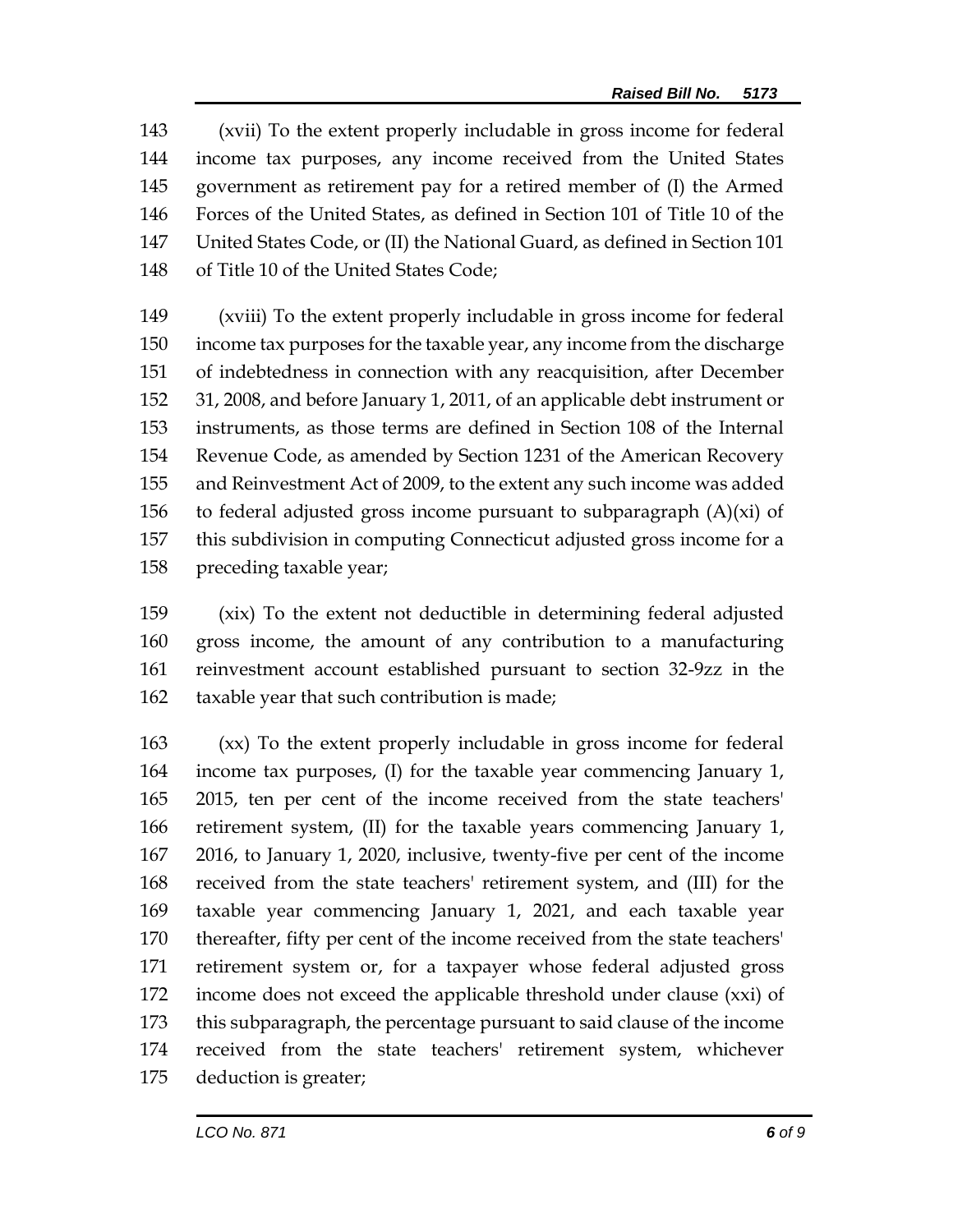(xvii) To the extent properly includable in gross income for federal income tax purposes, any income received from the United States government as retirement pay for a retired member of (I) the Armed Forces of the United States, as defined in Section 101 of Title 10 of the United States Code, or (II) the National Guard, as defined in Section 101 of Title 10 of the United States Code;

 (xviii) To the extent properly includable in gross income for federal income tax purposes for the taxable year, any income from the discharge of indebtedness in connection with any reacquisition, after December 31, 2008, and before January 1, 2011, of an applicable debt instrument or instruments, as those terms are defined in Section 108 of the Internal Revenue Code, as amended by Section 1231 of the American Recovery and Reinvestment Act of 2009, to the extent any such income was added 156 to federal adjusted gross income pursuant to subparagraph  $(A)(xi)$  of this subdivision in computing Connecticut adjusted gross income for a preceding taxable year;

 (xix) To the extent not deductible in determining federal adjusted gross income, the amount of any contribution to a manufacturing reinvestment account established pursuant to section 32-9zz in the taxable year that such contribution is made;

 (xx) To the extent properly includable in gross income for federal income tax purposes, (I) for the taxable year commencing January 1, 2015, ten per cent of the income received from the state teachers' retirement system, (II) for the taxable years commencing January 1, 2016, to January 1, 2020, inclusive, twenty-five per cent of the income received from the state teachers' retirement system, and (III) for the taxable year commencing January 1, 2021, and each taxable year thereafter, fifty per cent of the income received from the state teachers' retirement system or, for a taxpayer whose federal adjusted gross income does not exceed the applicable threshold under clause (xxi) of this subparagraph, the percentage pursuant to said clause of the income received from the state teachers' retirement system, whichever deduction is greater;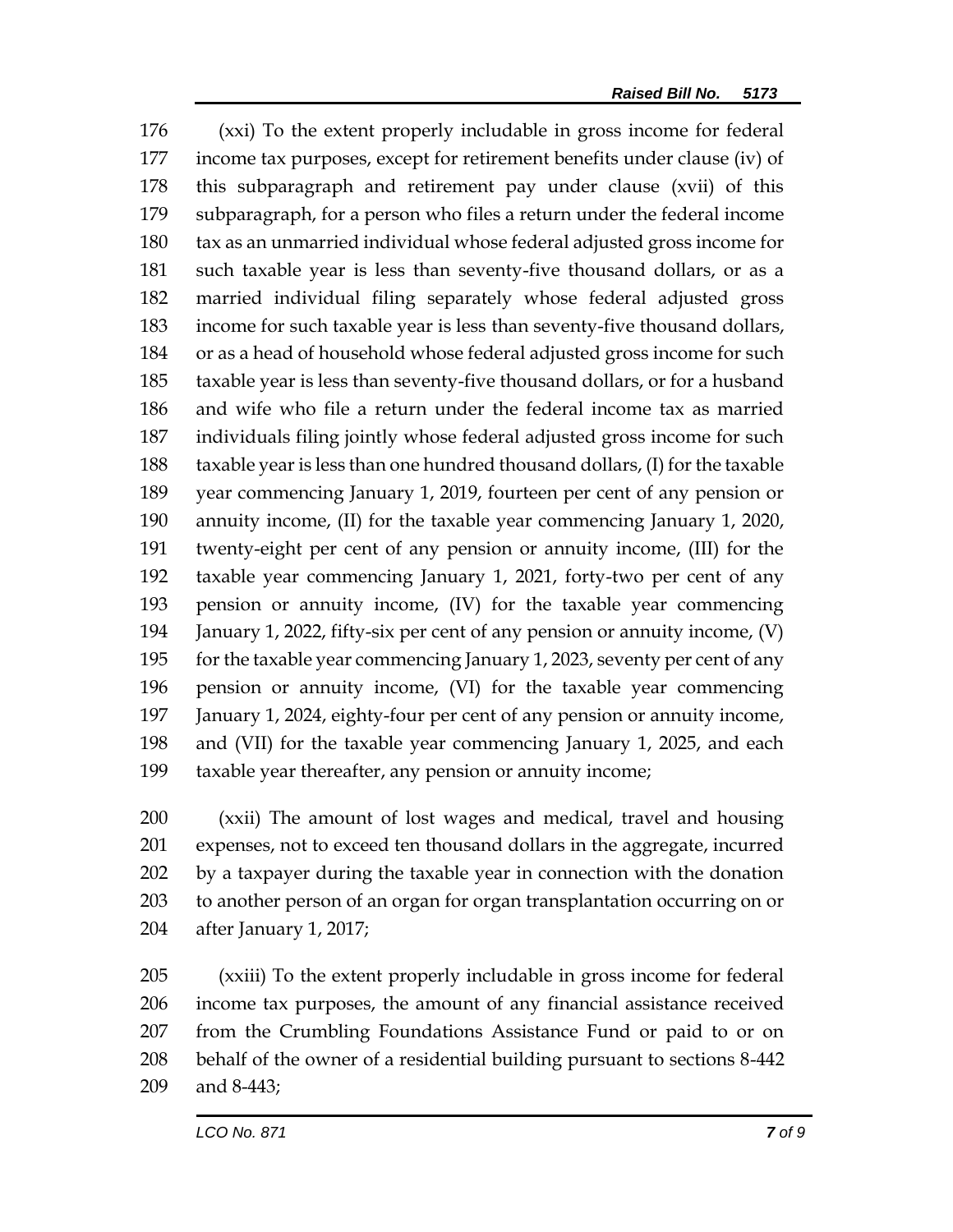(xxi) To the extent properly includable in gross income for federal income tax purposes, except for retirement benefits under clause (iv) of this subparagraph and retirement pay under clause (xvii) of this subparagraph, for a person who files a return under the federal income tax as an unmarried individual whose federal adjusted gross income for such taxable year is less than seventy-five thousand dollars, or as a married individual filing separately whose federal adjusted gross income for such taxable year is less than seventy-five thousand dollars, or as a head of household whose federal adjusted gross income for such taxable year is less than seventy-five thousand dollars, or for a husband and wife who file a return under the federal income tax as married individuals filing jointly whose federal adjusted gross income for such taxable year is less than one hundred thousand dollars, (I) for the taxable year commencing January 1, 2019, fourteen per cent of any pension or annuity income, (II) for the taxable year commencing January 1, 2020, twenty-eight per cent of any pension or annuity income, (III) for the taxable year commencing January 1, 2021, forty-two per cent of any pension or annuity income, (IV) for the taxable year commencing January 1, 2022, fifty-six per cent of any pension or annuity income, (V) for the taxable year commencing January 1, 2023, seventy per cent of any pension or annuity income, (VI) for the taxable year commencing January 1, 2024, eighty-four per cent of any pension or annuity income, and (VII) for the taxable year commencing January 1, 2025, and each taxable year thereafter, any pension or annuity income;

 (xxii) The amount of lost wages and medical, travel and housing expenses, not to exceed ten thousand dollars in the aggregate, incurred by a taxpayer during the taxable year in connection with the donation to another person of an organ for organ transplantation occurring on or after January 1, 2017;

 (xxiii) To the extent properly includable in gross income for federal income tax purposes, the amount of any financial assistance received from the Crumbling Foundations Assistance Fund or paid to or on behalf of the owner of a residential building pursuant to sections 8-442 and 8-443;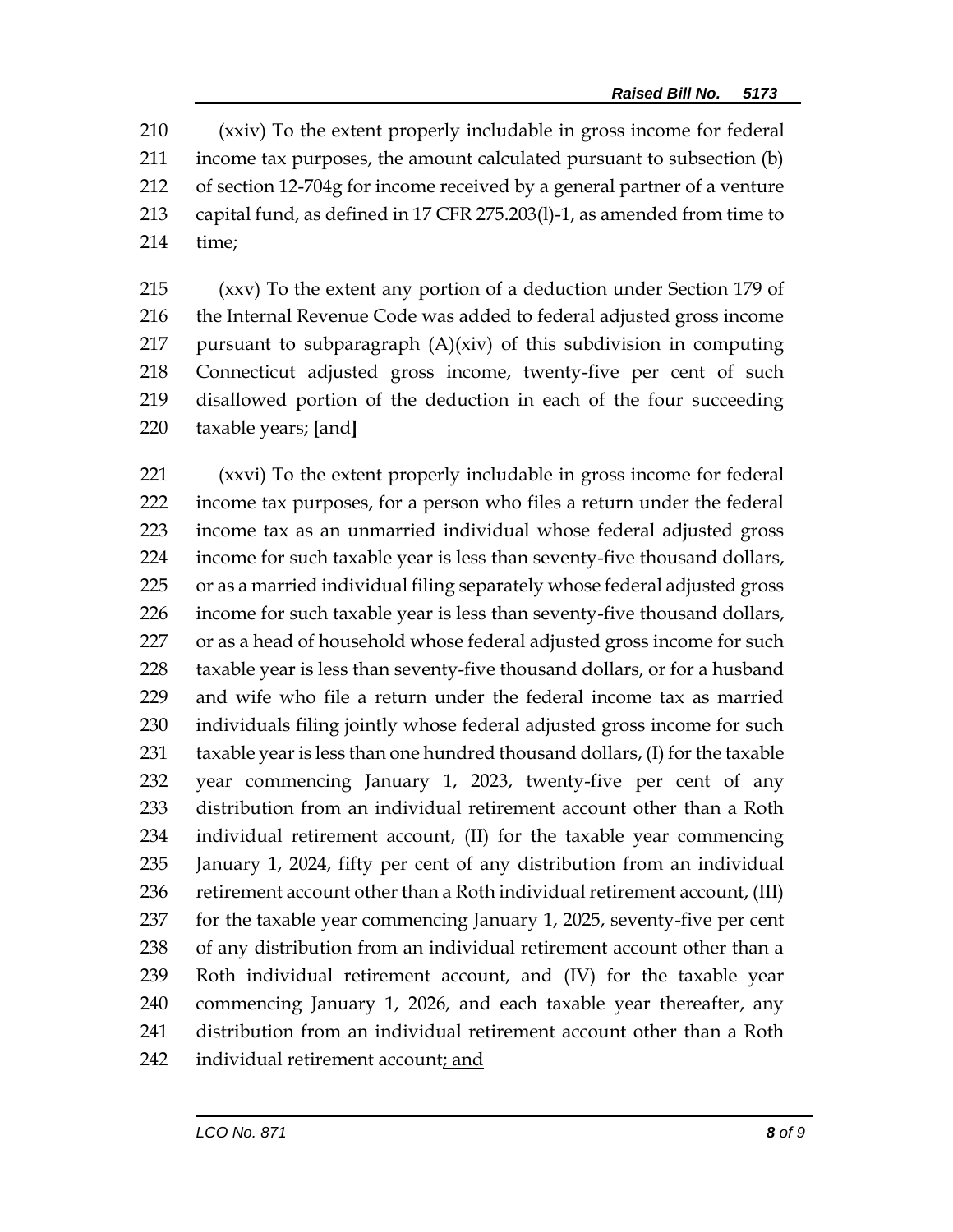(xxiv) To the extent properly includable in gross income for federal income tax purposes, the amount calculated pursuant to subsection (b) of section 12-704g for income received by a general partner of a venture capital fund, as defined in 17 CFR 275.203(l)-1, as amended from time to time;

 (xxv) To the extent any portion of a deduction under Section 179 of the Internal Revenue Code was added to federal adjusted gross income pursuant to subparagraph (A)(xiv) of this subdivision in computing Connecticut adjusted gross income, twenty-five per cent of such disallowed portion of the deduction in each of the four succeeding taxable years; **[**and**]**

 (xxvi) To the extent properly includable in gross income for federal income tax purposes, for a person who files a return under the federal income tax as an unmarried individual whose federal adjusted gross income for such taxable year is less than seventy-five thousand dollars, or as a married individual filing separately whose federal adjusted gross income for such taxable year is less than seventy-five thousand dollars, 227 or as a head of household whose federal adjusted gross income for such taxable year is less than seventy-five thousand dollars, or for a husband and wife who file a return under the federal income tax as married individuals filing jointly whose federal adjusted gross income for such taxable year is less than one hundred thousand dollars, (I) for the taxable year commencing January 1, 2023, twenty-five per cent of any distribution from an individual retirement account other than a Roth individual retirement account, (II) for the taxable year commencing January 1, 2024, fifty per cent of any distribution from an individual 236 retirement account other than a Roth individual retirement account, (III) for the taxable year commencing January 1, 2025, seventy-five per cent of any distribution from an individual retirement account other than a Roth individual retirement account, and (IV) for the taxable year commencing January 1, 2026, and each taxable year thereafter, any distribution from an individual retirement account other than a Roth individual retirement account; and